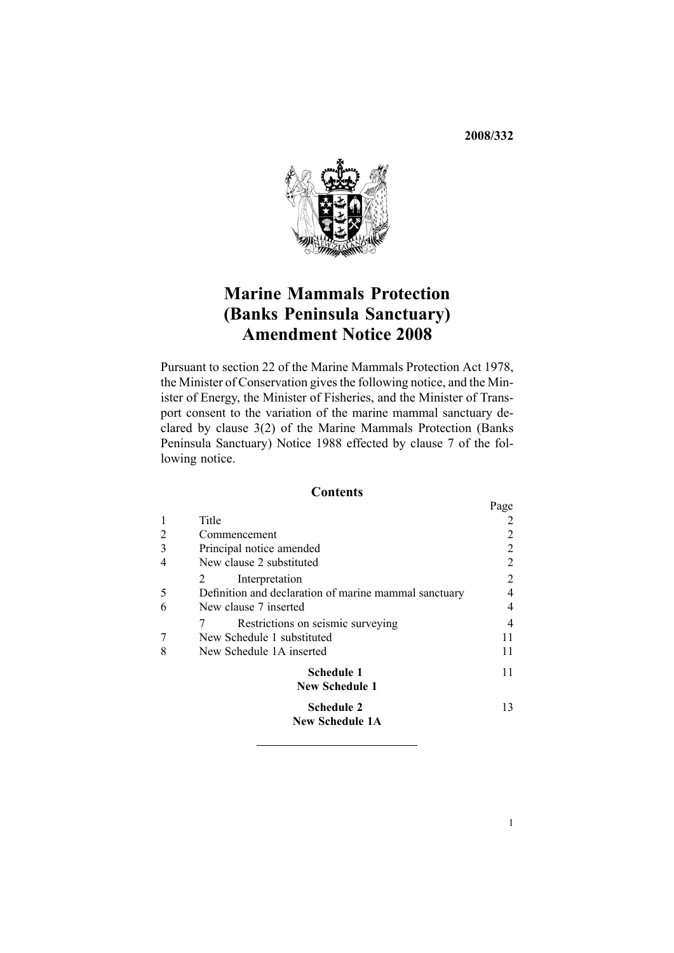**2008/332**



# **Marine Mammals Protection (Banks Peninsula Sanctuary) Amendment Notice <sup>2008</sup>**

Pursuant to section <sup>22</sup> of the Marine Mammals Protection Act 1978, the Minister of Conservation <sup>g</sup>ives the following notice, and the Minister of Energy, the Minister of Fisheries, and the Minister of Transpor<sup>t</sup> consent to the variation of the marine mammal sanctuary declared by clause 3(2) of the Marine Mammals Protection (Banks Peninsula Sanctuary) Notice <sup>1988</sup> effected by clause <sup>7</sup> of the following notice.

## **Contents**

|                |                                                       | Page |
|----------------|-------------------------------------------------------|------|
| 1              | Title                                                 |      |
| $\overline{2}$ | Commencement                                          |      |
| 3              | Principal notice amended                              | 2    |
| 4              | New clause 2 substituted                              | 2    |
|                | Interpretation                                        | 2    |
| 5              | Definition and declaration of marine mammal sanctuary |      |
| 6              | New clause 7 inserted                                 | 4    |
|                | 7<br>Restrictions on seismic surveying                |      |
| 7              | New Schedule 1 substituted                            |      |
| 8              | New Schedule 1A inserted                              | 11   |
|                | Schedule 1                                            | 11   |
|                | <b>New Schedule 1</b>                                 |      |
|                | <b>Schedule 2</b>                                     | 13   |
|                | <b>New Schedule 1A</b>                                |      |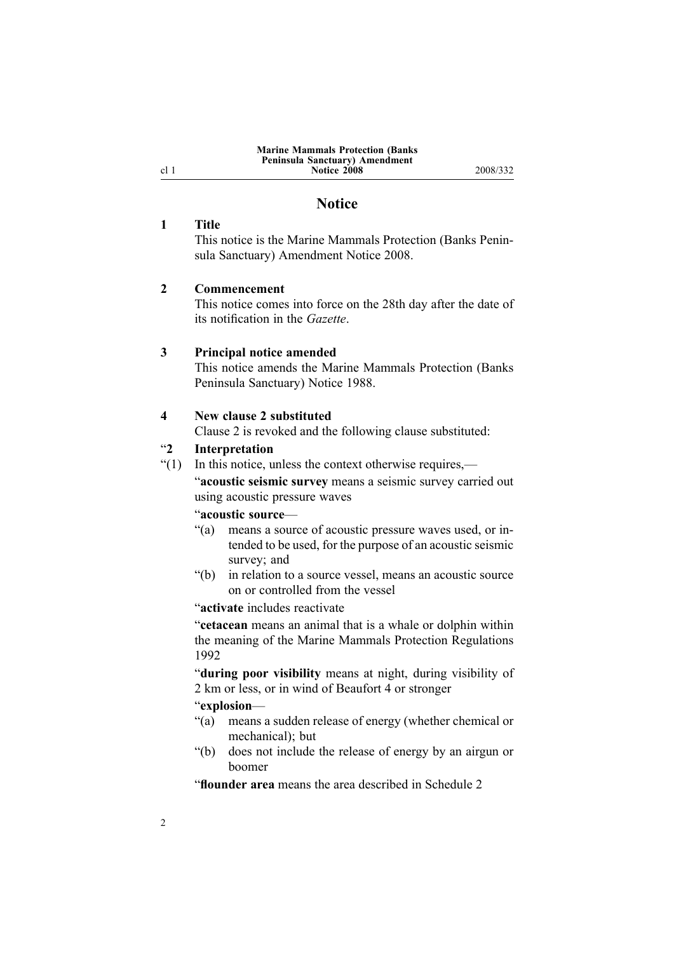#### **Marine Mammals Protection (Banks Peninsula Sanctuary) Amendment Notice 2008** 2008/332

## **Notice**

### <span id="page-1-0"></span>**<sup>1</sup> Title**

This notice is the Marine Mammals Protection (Banks Peninsula Sanctuary) Amendment Notice 2008.

#### **<sup>2</sup> Commencement**

This notice comes into force on the 28th day after the date of its notification in the *Gazette*.

#### **<sup>3</sup> Principal notice amended**

This notice amends the Marine Mammals Protection (Banks Peninsula Sanctuary) Notice 1988.

### **<sup>4</sup> New clause <sup>2</sup> substituted**

Clause <sup>2</sup> is revoked and the following clause substituted:

# "**2 Interpretation**<br>"(1) In this notice, u

In this notice, unless the context otherwise requires,—

"**acoustic seismic survey** means <sup>a</sup> seismic survey carried out using acoustic pressure waves

# "**acoustic source—**<br>"(a) means a source

- means a source of acoustic pressure waves used, or intended to be used, for the purpose of an acoustic seismic survey; and
- "(b) in relation to <sup>a</sup> source vessel, means an acoustic source on or controlled from the vessel

"**activate** includes reactivate

"**cetacean** means an animal that is <sup>a</sup> whale or dolphin within the meaning of the Marine Mammals Protection Regulations 1992

"**during poor visibility** means at night, during visibility of <sup>2</sup> km or less, or in wind of Beaufort <sup>4</sup> or stronger

#### "**explosion**—

- "(a) means <sup>a</sup> sudden release of energy (whether chemical or mechanical); but
- "(b) does not include the release of energy by an airgun or boomer

"**flounder area** means the area described in Schedule <sup>2</sup>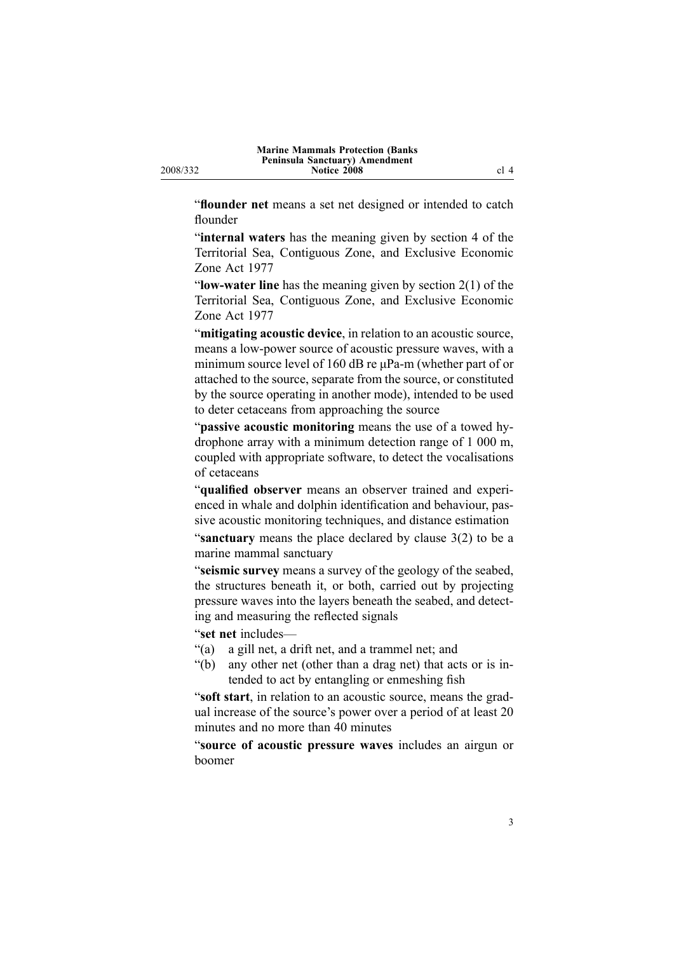"**flounder net** means <sup>a</sup> set net designed or intended to catch flounder

"**internal waters** has the meaning <sup>g</sup>iven by section <sup>4</sup> of the Territorial Sea, Contiguous Zone, and Exclusive Economic Zone Act <sup>1977</sup>

"**low-water line** has the meaning given by section  $2(1)$  of the Territorial Sea, Contiguous Zone, and Exclusive Economic Zone Act <sup>1977</sup>

"**mitigating acoustic device**, in relation to an acoustic source, means a low-power source of acoustic pressure waves, with a minimum source level of 160 dB re μPa-m (whether part of or attached to the source, separate from the source, or constituted by the source operating in another mode), intended to be used to deter cetaceans from approaching the source

"**passive acoustic monitoring** means the use of <sup>a</sup> towed hydrophone array with <sup>a</sup> minimum detection range of <sup>1</sup> <sup>000</sup> m, coupled with appropriate software, to detect the vocalisations of cetaceans

"**qualified observer** means an observer trained and experienced in whale and dolphin identification and behaviour, passive acoustic monitoring techniques, and distance estimation

"**sanctuary** means the <sup>p</sup>lace declared by clause 3(2) to be <sup>a</sup> marine mammal sanctuary

"**seismic survey** means <sup>a</sup> survey of the geology of the seabed, the structures beneath it, or both, carried out by projecting pressure waves into the layers beneath the seabed, and detecting and measuring the reflected signals

"**set net** includes—<br>"(a) a gill net, a d

"(a) a gill net, a drift net, and a trammel net; and<br>"(b) any other net (other than a drag net) that act

any other net (other than a drag net) that acts or is intended to act by entangling or enmeshing fish

"**soft start**, in relation to an acoustic source, means the gradual increase of the source's power over <sup>a</sup> period of at least <sup>20</sup> minutes and no more than <sup>40</sup> minutes

"**source of acoustic pressure waves** includes an airgun or boomer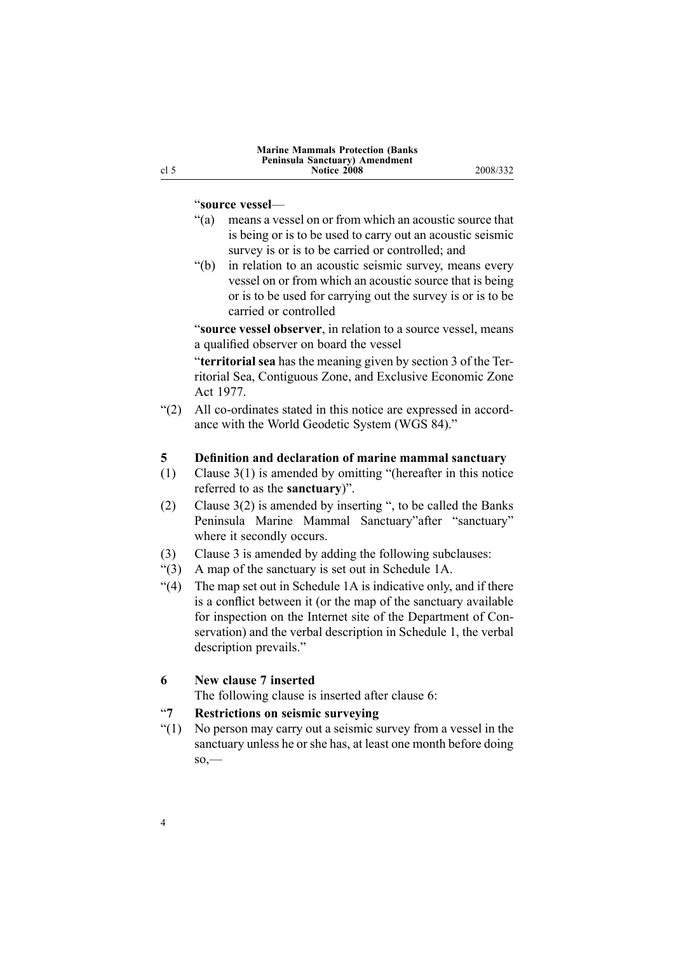### <span id="page-3-0"></span>"**source vessel**—

- "(a) means <sup>a</sup> vessel on or from which an acoustic source that is being or is to be used to carry out an acoustic seismic survey is or is to be carried or controlled; and
- "(b) in relation to an acoustic seismic survey, means every vessel on or from which an acoustic source that is being or is to be used for carrying out the survey is or is to be carried or controlled

"**source vessel observer**, in relation to <sup>a</sup> source vessel, means <sup>a</sup> qualified observer on board the vessel

"**territorial sea** has the meaning <sup>g</sup>iven by section <sup>3</sup> of the Territorial Sea, Contiguous Zone, and Exclusive Economic Zone Act 1977.

" $(2)$  All co-ordinates stated in this notice are expressed in accordance with the World Geodetic System (WGS 84)."

# **5 Definition and declaration of marine mammal sanctuary (1) Clause 3(1) is amended by omitting "(hereafter in this notic**

- Clause  $3(1)$  is amended by omitting "(hereafter in this notice referred to as the **sanctuary**)".
- (2) Clause 3(2) is amended by inserting ", to be called the Banks Peninsula Marine Mammal Sanctuary"after "sanctuary" where it secondly occurs.
- (3) Clause <sup>3</sup> is amended by adding the following subclauses:
- "(3) A map of the sanctuary is set out in Schedule 1A.<br>"(4) The map set out in Schedule 1A is indicative only,
- The map set out in Schedule 1A is indicative only, and if there is <sup>a</sup> conflict between it (or the map of the sanctuary available for inspection on the Internet site of the Department of Conservation) and the verbal description in Schedule 1, the verbal description prevails."

# **<sup>6</sup> New clause <sup>7</sup> inserted**

The following clause is inserted after clause 6:

# "**7 Restrictions on seismic surveying**<br>"(1) No person may carry out a seismic s

No person may carry out a seismic survey from a vessel in the sanctuary unless he or she has, at least one month before doing  $\mathbf{so}$ <sup>---</sup>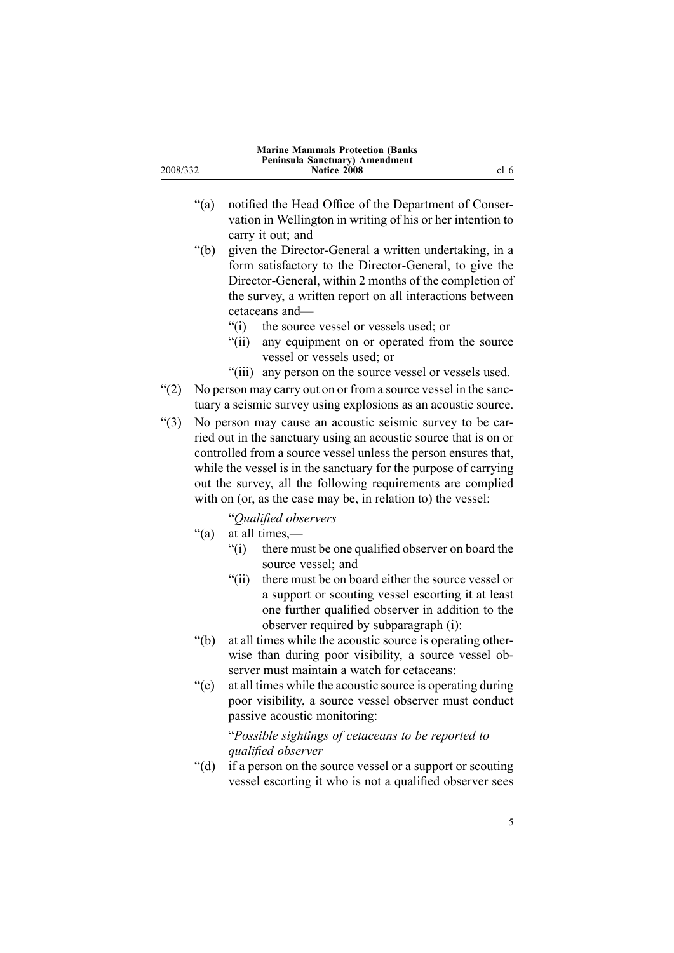| <b>Marine Mammals Protection (Banks</b><br>Peninsula Sanctuary) Amendment<br>cl 6<br>2008/332<br><b>Notice 2008</b> |               |                                                                                                                                                                                                                                                                                                                                        |
|---------------------------------------------------------------------------------------------------------------------|---------------|----------------------------------------------------------------------------------------------------------------------------------------------------------------------------------------------------------------------------------------------------------------------------------------------------------------------------------------|
|                                                                                                                     | " $(a)$       | notified the Head Office of the Department of Conser-<br>vation in Wellington in writing of his or her intention to                                                                                                                                                                                                                    |
|                                                                                                                     | " $(b)$       | carry it out; and<br>given the Director-General a written undertaking, in a<br>form satisfactory to the Director-General, to give the<br>Director-General, within 2 months of the completion of<br>the survey, a written report on all interactions between<br>cetaceans and-                                                          |
|                                                                                                                     |               | the source vessel or vessels used; or<br>"(i)<br>$\degree$ (ii)<br>any equipment on or operated from the source<br>vessel or vessels used; or                                                                                                                                                                                          |
|                                                                                                                     |               | "(iii) any person on the source vessel or vessels used.                                                                                                                                                                                                                                                                                |
| $\degree(2)$                                                                                                        |               | No person may carry out on or from a source vessel in the sanc-<br>tuary a seismic survey using explosions as an acoustic source.                                                                                                                                                                                                      |
| $\lq(3)$                                                                                                            |               | No person may cause an acoustic seismic survey to be car-                                                                                                                                                                                                                                                                              |
|                                                                                                                     |               | ried out in the sanctuary using an acoustic source that is on or<br>controlled from a source vessel unless the person ensures that,<br>while the vessel is in the sanctuary for the purpose of carrying<br>out the survey, all the following requirements are complied<br>with on (or, as the case may be, in relation to) the vessel: |
|                                                                                                                     |               | "Qualified observers                                                                                                                                                                                                                                                                                                                   |
|                                                                                                                     | " $(a)$ "     | at all times,—<br>``(i)<br>there must be one qualified observer on board the<br>source vessel; and<br>" $(ii)$<br>there must be on board either the source vessel or<br>a support or scouting vessel escorting it at least<br>one further qualified observer in addition to the<br>observer required by subparagraph (i):              |
|                                                                                                                     | $\degree$ (b) | at all times while the acoustic source is operating other-<br>wise than during poor visibility, a source vessel ob-<br>server must maintain a watch for cetaceans:                                                                                                                                                                     |
|                                                                                                                     | ``(c)         | at all times while the acoustic source is operating during<br>poor visibility, a source vessel observer must conduct<br>passive acoustic monitoring:<br>"Possible sightings of cetaceans to be reported to                                                                                                                             |

"*Possible sightings of cetaceans to be reported to qualified observer*

"(d) if a person on the source vessel or a support or scouting vessel escorting it who is not <sup>a</sup> qualified observer sees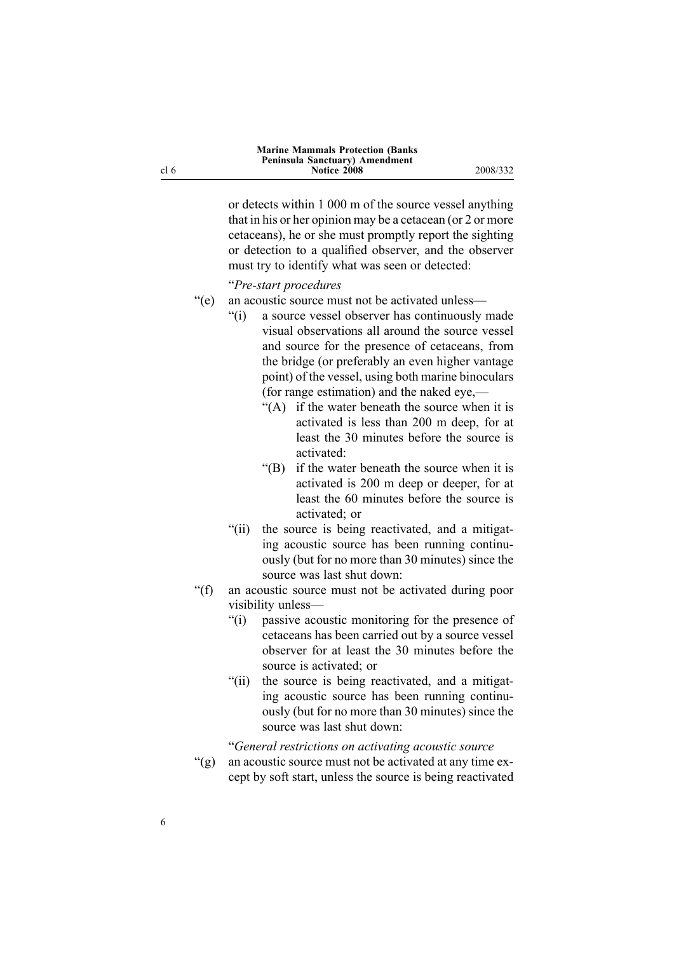or detects within <sup>1</sup> <sup>000</sup> <sup>m</sup> of the source vessel anything that in his or her opinion may be <sup>a</sup> cetacean (or <sup>2</sup> or more cetaceans), he or she must promptly repor<sup>t</sup> the sighting or detection to <sup>a</sup> qualified observer, and the observer must try to identify what was seen or detected:

"*Prestart procedures*

- "(e) an acoustic source must not be activated unless—<br>"(i) a source vessel observer has continuously
	- a source vessel observer has continuously made visual observations all around the source vessel and source for the presence of cetaceans, from the bridge (or preferably an even higher vantage point) of the vessel, using both marine binoculars (for range estimation) and the naked eye,—
		- "(A) if the water beneath the source when it is activated is less than <sup>200</sup> <sup>m</sup> deep, for at least the <sup>30</sup> minutes before the source is activated:
		- "(B) if the water beneath the source when it is activated is <sup>200</sup> <sup>m</sup> deep or deeper, for at least the <sup>60</sup> minutes before the source is activated; or
	- "(ii) the source is being reactivated, and <sup>a</sup> mitigating acoustic source has been running continuously (but for no more than <sup>30</sup> minutes) since the source was last shut down:
- "(f) an acoustic source must not be activated during poor visibility unless—<br>
"(i) passive aco
	- passive acoustic monitoring for the presence of cetaceans has been carried out by <sup>a</sup> source vessel observer for at least the <sup>30</sup> minutes before the source is activated; or
	- "(ii) the source is being reactivated, and <sup>a</sup> mitigating acoustic source has been running continuously (but for no more than <sup>30</sup> minutes) since the source was last shut down:

"*General restrictions on activating acoustic source*

"(g) an acoustic source must not be activated at any time excep<sup>t</sup> by soft start, unless the source is being reactivated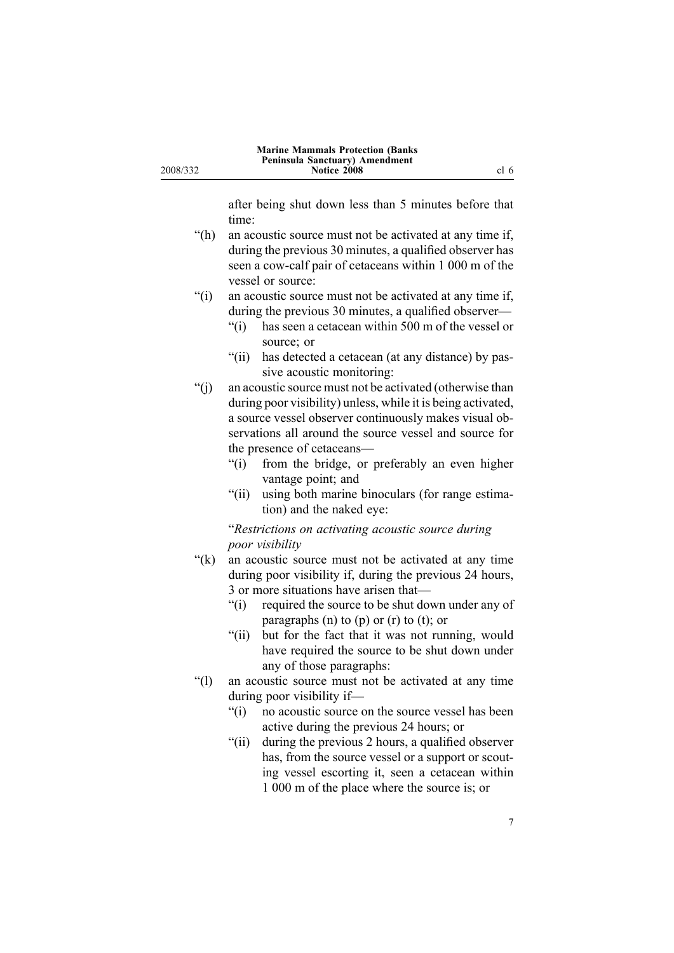2008/332

after being shut down less than <sup>5</sup> minutes before that time:

- "(h) an acoustic source must not be activated at any time if, during the previous <sup>30</sup> minutes, <sup>a</sup> qualified observer has seen a cow-calf pair of cetaceans within 1 000 m of the vessel or source:
- "(i) an acoustic source must not be activated at any time if,
	- during the previous 30 minutes, a qualified observer—<br>"(i) has seen a cetacean within 500 m of the vessel or has seen a cetacean within 500 m of the vessel or source; or
	- "(ii) has detected <sup>a</sup> cetacean (at any distance) by passive acoustic monitoring:
- "(j) an acoustic source must not be activated (otherwise than during poor visibility) unless, while it is being activated, <sup>a</sup> source vessel observer continuously makes visual observations all around the source vessel and source for the presence of cetaceans—<br>"(i) from the bridge, or
	- from the bridge, or preferably an even higher vantage point; and
	- "(ii) using both marine binoculars (for range estimation) and the naked eye:

"*Restrictions on activating acoustic source during poor visibility*

- "(k) an acoustic source must not be activated at any time during poor visibility if, during the previous <sup>24</sup> hours, 3 or more situations have arisen that—<br>"(i) required the source to be shut do
	- required the source to be shut down under any of paragraphs (n) to (p) or (r) to (t); or
	- "(ii) but for the fact that it was not running, would have required the source to be shut down under any of those paragraphs:
- "(l) an acoustic source must not be activated at any time during poor visibility if—<br>"(i) no acoustic source of
	- no acoustic source on the source vessel has been active during the previous <sup>24</sup> hours; or
	- "(ii) during the previous <sup>2</sup> hours, <sup>a</sup> qualified observer has, from the source vessel or <sup>a</sup> suppor<sup>t</sup> or scouting vessel escorting it, seen <sup>a</sup> cetacean within <sup>1</sup> <sup>000</sup> <sup>m</sup> of the <sup>p</sup>lace where the source is; or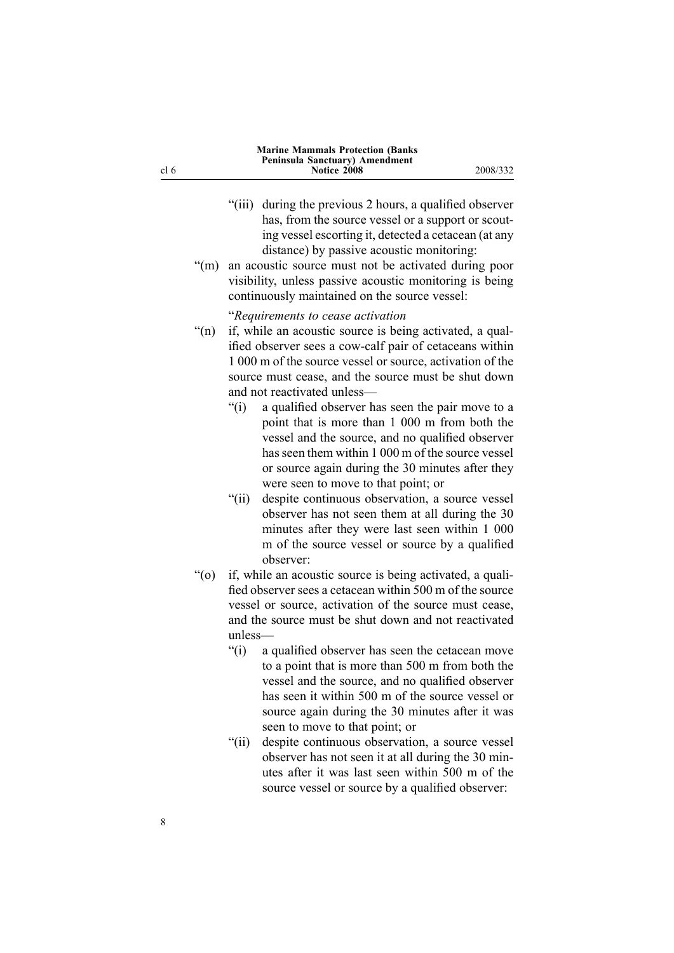| <b>Marine Mammals Protection (Banks)</b> |          |  |  |
|------------------------------------------|----------|--|--|
| Peninsula Sanctuary) Amendment           |          |  |  |
| Notice 2008                              | 2008/332 |  |  |
|                                          |          |  |  |

- "(iii) during the previous <sup>2</sup> hours, <sup>a</sup> qualified observer has, from the source vessel or <sup>a</sup> suppor<sup>t</sup> or scouting vessel escorting it, detected <sup>a</sup> cetacean (at any distance) by passive acoustic monitoring:
- "(m) an acoustic source must not be activated during poor visibility, unless passive acoustic monitoring is being continuously maintained on the source vessel:

"*Requirements to cease activation*

- "(n) if, while an acoustic source is being activated, <sup>a</sup> qualified observer sees a cow-calf pair of cetaceans within <sup>1</sup> <sup>000</sup> <sup>m</sup> of the source vessel or source, activation of the source must cease, and the source must be shut down and not reactivated unless—<br>"(i) a qualified observer h
	- a qualified observer has seen the pair move to a point that is more than <sup>1</sup> <sup>000</sup> <sup>m</sup> from both the vessel and the source, and no qualified observer has seen them within <sup>1</sup> <sup>000</sup> <sup>m</sup> of the source vessel or source again during the <sup>30</sup> minutes after they were seen to move to that point; or
	- "(ii) despite continuous observation, <sup>a</sup> source vessel observer has not seen them at all during the <sup>30</sup> minutes after they were last seen within <sup>1</sup> <sup>000</sup> <sup>m</sup> of the source vessel or source by <sup>a</sup> qualified observer:
- "(o) if, while an acoustic source is being activated, <sup>a</sup> qualified observer sees <sup>a</sup> cetacean within <sup>500</sup> <sup>m</sup> of the source vessel or source, activation of the source must cease, and the source must be shut down and not reactivated unless—
	- "(i) <sup>a</sup> qualified observer has seen the cetacean move to <sup>a</sup> point that is more than <sup>500</sup> <sup>m</sup> from both the vessel and the source, and no qualified observer has seen it within <sup>500</sup> <sup>m</sup> of the source vessel or source again during the <sup>30</sup> minutes after it was seen to move to that point; or
	- "(ii) despite continuous observation, <sup>a</sup> source vessel observer has not seen it at all during the <sup>30</sup> minutes after it was last seen within <sup>500</sup> <sup>m</sup> of the source vessel or source by <sup>a</sup> qualified observer:

cl 6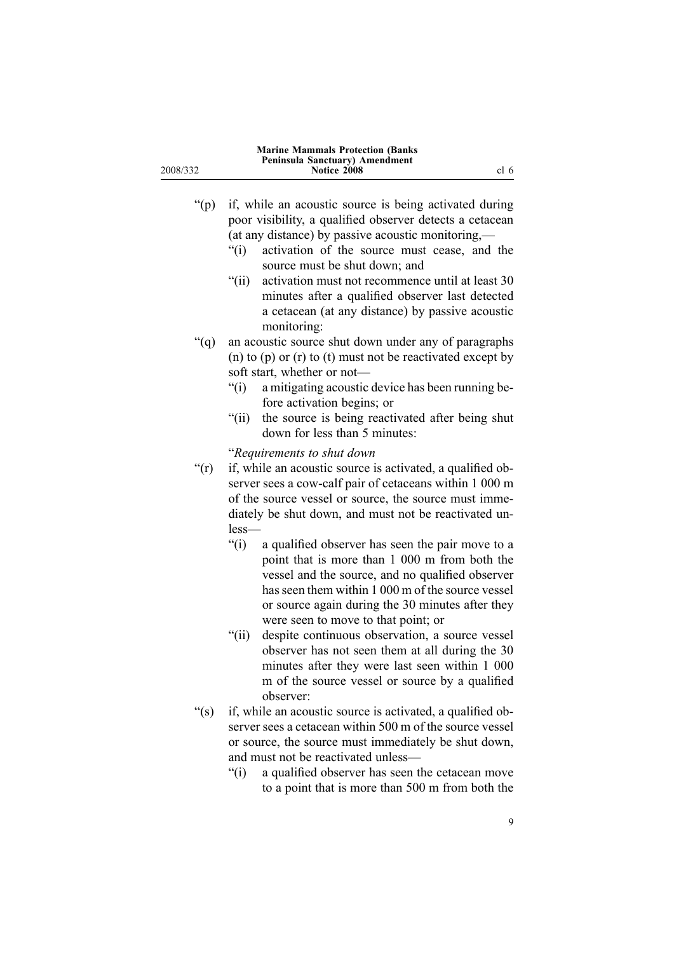|          | <b>Marine Mammals Protection (Banks)</b> |      |
|----------|------------------------------------------|------|
|          | Peninsula Sanctuary) Amendment           |      |
| 2008/332 | Notice 2008                              | cl 6 |
|          |                                          |      |

- "(p) if, while an acoustic source is being activated during poor visibility, <sup>a</sup> qualified observer detects <sup>a</sup> cetacean (at any distance) by passive acoustic monitoring,— $\degree$  (i) activation of the source must cease, and
	- activation of the source must cease, and the source must be shut down; and
	- "(ii) activation must not recommence until at least <sup>30</sup> minutes after <sup>a</sup> qualified observer last detected <sup>a</sup> cetacean (at any distance) by passive acoustic monitoring:
- "(q) an acoustic source shut down under any of paragraphs (n) to (p) or (r) to (t) must not be reactivated excep<sup>t</sup> by
	- soft start, whether or not—<br>"(i) a mitigating acoustic a mitigating acoustic device has been running before activation begins; or
	- "(ii) the source is being reactivated after being shut down for less than <sup>5</sup> minutes:

"*Requirements to shut down*

- "(r) if, while an acoustic source is activated, <sup>a</sup> qualified observer sees a cow-calf pair of cetaceans within 1 000 m of the source vessel or source, the source must immediately be shut down, and must not be reactivated unless—
	- "(i) <sup>a</sup> qualified observer has seen the pair move to <sup>a</sup> point that is more than <sup>1</sup> <sup>000</sup> <sup>m</sup> from both the vessel and the source, and no qualified observer has seen them within <sup>1</sup> <sup>000</sup> <sup>m</sup> of the source vessel or source again during the <sup>30</sup> minutes after they were seen to move to that point; or
	- "(ii) despite continuous observation, <sup>a</sup> source vessel observer has not seen them at all during the <sup>30</sup> minutes after they were last seen within <sup>1</sup> <sup>000</sup> <sup>m</sup> of the source vessel or source by <sup>a</sup> qualified observer:
- "(s) if, while an acoustic source is activated, <sup>a</sup> qualified observer sees <sup>a</sup> cetacean within <sup>500</sup> <sup>m</sup> of the source vessel or source, the source must immediately be shut down, and must not be reactivated unless—<br>"(i) a qualified observer has seen t
	- a qualified observer has seen the cetacean move to <sup>a</sup> point that is more than <sup>500</sup> <sup>m</sup> from both the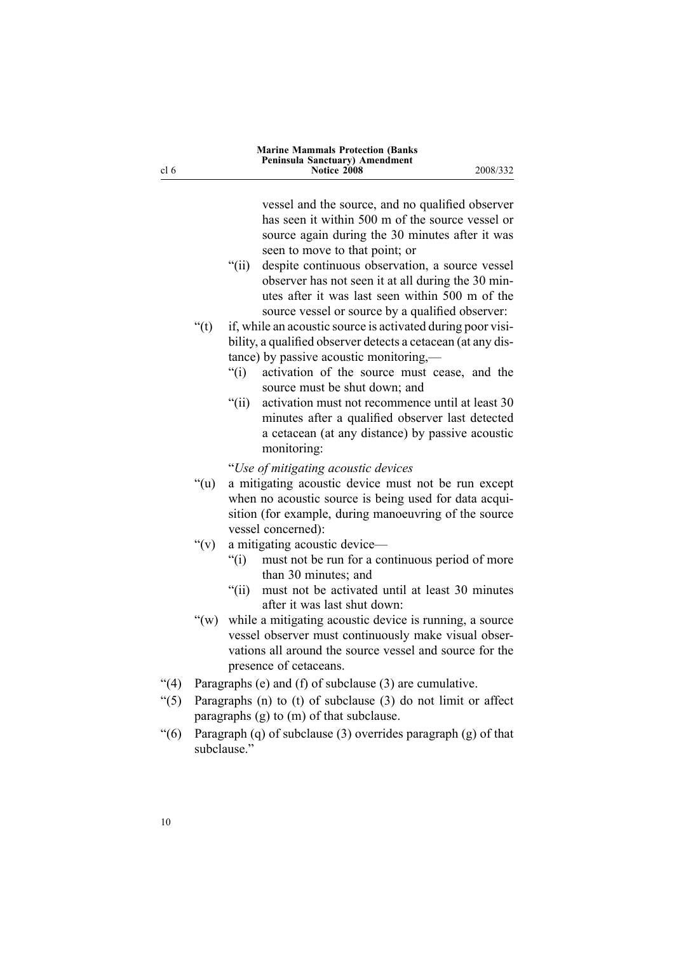| <b>Marine Mammals Protection (Banks)</b>      |          |
|-----------------------------------------------|----------|
| Peninsula Sanctuary) Amendment<br>Notice 2008 | 2008/332 |
|                                               |          |

vessel and the source, and no qualified observer has seen it within <sup>500</sup> <sup>m</sup> of the source vessel or source again during the <sup>30</sup> minutes after it was seen to move to that point; or

- "(ii) despite continuous observation, <sup>a</sup> source vessel observer has not seen it at all during the <sup>30</sup> minutes after it was last seen within <sup>500</sup> <sup>m</sup> of the source vessel or source by <sup>a</sup> qualified observer:
- "(t) if, while an acoustic source is activated during poor visibility, <sup>a</sup> qualified observer detects <sup>a</sup> cetacean (at any distance) by passive acoustic monitoring,—<br>"(i) activation of the source must ce
	- activation of the source must cease, and the source must be shut down; and
	- "(ii) activation must not recommence until at least <sup>30</sup> minutes after <sup>a</sup> qualified observer last detected <sup>a</sup> cetacean (at any distance) by passive acoustic monitoring:

"*Use of mitigating acoustic devices*

- "(u) <sup>a</sup> mitigating acoustic device must not be run excep<sup>t</sup> when no acoustic source is being used for data acquisition (for example, during manoeuvring of the source vessel concerned):
- "(v) a mitigating acoustic device—<br>"(i) must not be run for a com
	- must not be run for a continuous period of more than <sup>30</sup> minutes; and
	- "(ii) must not be activated until at least <sup>30</sup> minutes after it was last shut down:
- "(w) while <sup>a</sup> mitigating acoustic device is running, <sup>a</sup> source vessel observer must continuously make visual observations all around the source vessel and source for the presence of cetaceans.
- "(4) Paragraphs (e) and (f) of subclause (3) are cumulative.<br>"(5) Paragraphs (n) to (t) of subclause (3) do not limit or
- Paragraphs (n) to (t) of subclause  $(3)$  do not limit or affect paragraphs (g) to (m) of that subclause.
- "(6) Paragraph (q) of subclause (3) overrides paragraph (g) of that subclause."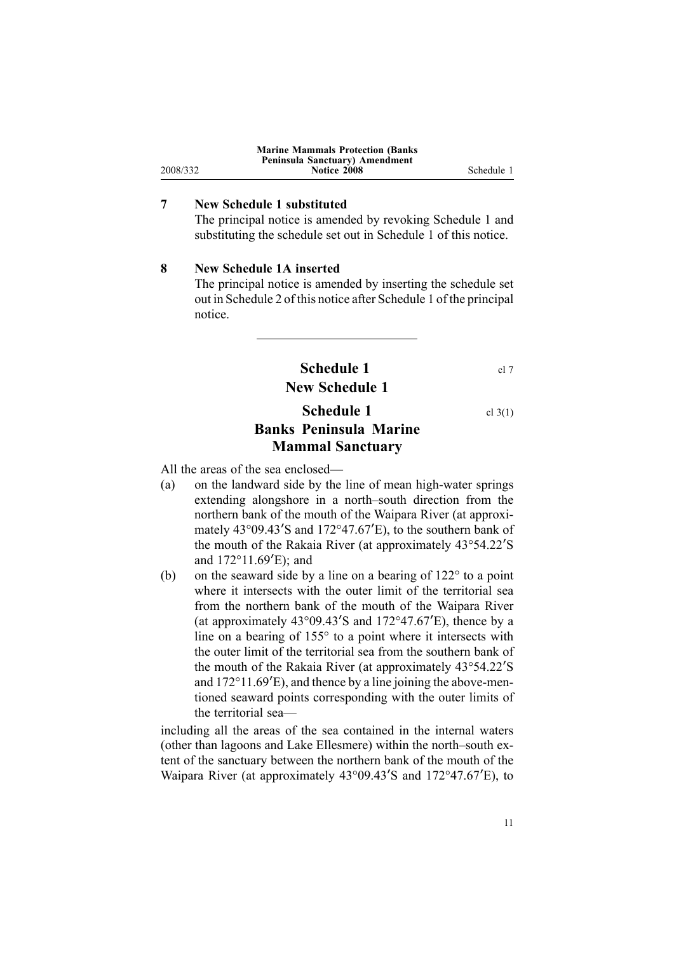<span id="page-10-0"></span>

|          | <b>Marine Mammals Protection (Banks)</b> |            |
|----------|------------------------------------------|------------|
|          | Peninsula Sanctuary) Amendment           |            |
| 2008/332 | Notice 2008                              | Schedule 1 |
|          |                                          |            |

# **<sup>7</sup> New Schedule <sup>1</sup> substituted**

The principal notice is amended by revoking Schedule <sup>1</sup> and substituting the schedule set out in Schedule <sup>1</sup> of this notice.

# **<sup>8</sup> New Schedule 1A inserted**

The principal notice is amended by inserting the schedule set out in Schedule <sup>2</sup> of this notice after Schedule <sup>1</sup> of the principal notice.

> **Schedule 1** cl 7 **New Schedule <sup>1</sup>**

# **Schedule 1** cl 3(1) **Banks Peninsula Marine Mammal Sanctuary**

All the areas of the sea enclosed—<br>(a) on the landward side by the

- on the landward side by the line of mean high-water springs extending alongshore in <sup>a</sup> north–south direction from the northern bank of the mouth of the Waipara River (at approximately 43°09.43<sup>ʹ</sup><sup>S</sup> and 172°47.67<sup>ʹ</sup>E), to the southern bank of the mouth of the Rakaia River (at approximately 43°54.22<sup>ʹ</sup><sup>S</sup> and  $172^{\circ}11.69'E$ ; and
- (b) on the seaward side by <sup>a</sup> line on <sup>a</sup> bearing of 122° to <sup>a</sup> point where it intersects with the outer limit of the territorial sea from the northern bank of the mouth of the Waipara River (at approximately  $43^{\circ}09.43^{\prime}$ S and  $172^{\circ}47.67^{\prime}$ E), thence by a line on <sup>a</sup> bearing of 155° to <sup>a</sup> point where it intersects with the outer limit of the territorial sea from the southern bank of the mouth of the Rakaia River (at approximately 43°54.22<sup>ʹ</sup><sup>S</sup> and  $172^{\circ}11.69'E$ ), and thence by a line joining the above-mentioned seaward points corresponding with the outer limits of the territorial sea—

including all the areas of the sea contained in the internal waters (other than lagoons and Lake Ellesmere) within the north–south extent of the sanctuary between the northern bank of the mouth of the Waipara River (at approximately 43°09.43<sup>ʹ</sup><sup>S</sup> and 172°47.67<sup>ʹ</sup>E), to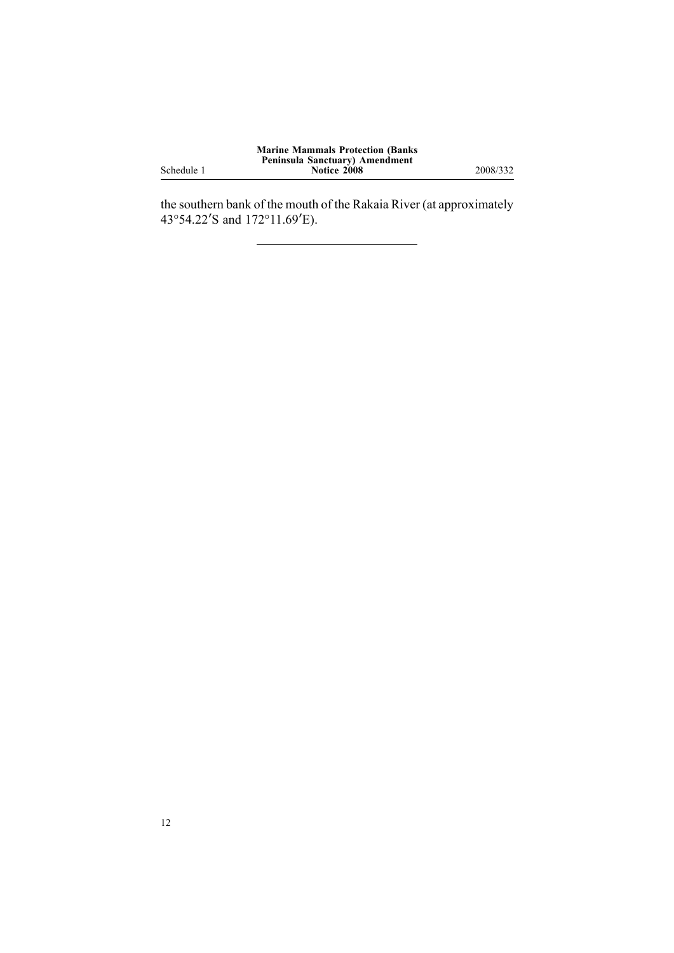Schedule <sup>1</sup>

the southern bank of the mouth of the Rakaia River (at approximately 43°54.22<sup>ʹ</sup><sup>S</sup> and 172°11.69<sup>ʹ</sup>E).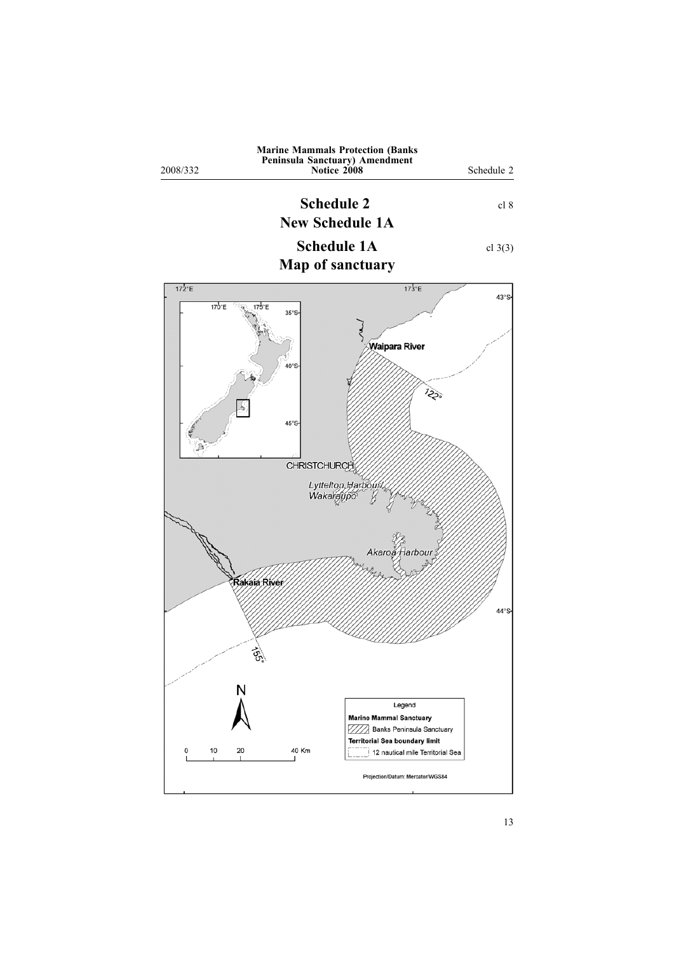<span id="page-12-0"></span>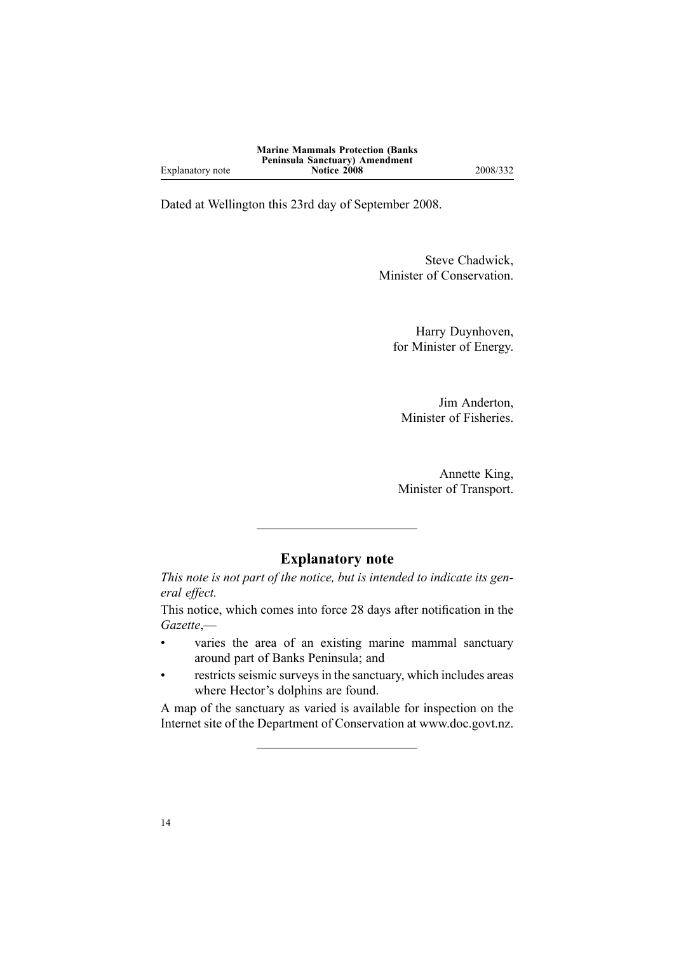Dated at Wellington this 23rd day of September 2008.

Steve Chadwick, Minister of Conservation.

Harry Duynhoven, for Minister of Energy.

Jim Anderton, Minister of Fisheries.

Annette King, Minister of Transport.

# **Explanatory note**

This note is not part of the notice, but is intended to indicate its gen*eral effect.*

This notice, which comes into force <sup>28</sup> days after notification in the *Gazette*,—

- varies the area of an existing marine mammal sanctuary around par<sup>t</sup> of Banks Peninsula; and
- restricts seismic surveys in the sanctuary, which includes areas where Hector's dolphins are found.

<sup>A</sup> map of the sanctuary as varied is available for inspection on the Internet site of the Department of Conservation at www.doc.govt.nz.